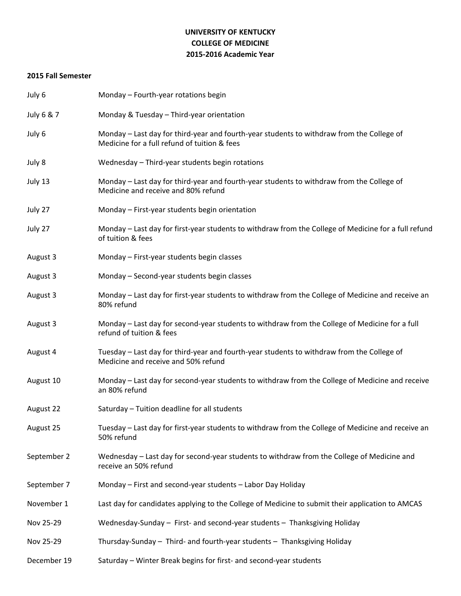# **UNIVERSITY OF KENTUCKY COLLEGE OF MEDICINE 2015-2016 Academic Year**

#### **2015 Fall Semester**

| July 6      | Monday - Fourth-year rotations begin                                                                                                      |
|-------------|-------------------------------------------------------------------------------------------------------------------------------------------|
| July 6 & 7  | Monday & Tuesday - Third-year orientation                                                                                                 |
| July 6      | Monday – Last day for third-year and fourth-year students to withdraw from the College of<br>Medicine for a full refund of tuition & fees |
| July 8      | Wednesday - Third-year students begin rotations                                                                                           |
| July 13     | Monday – Last day for third-year and fourth-year students to withdraw from the College of<br>Medicine and receive and 80% refund          |
| July 27     | Monday - First-year students begin orientation                                                                                            |
| July 27     | Monday – Last day for first-year students to withdraw from the College of Medicine for a full refund<br>of tuition & fees                 |
| August 3    | Monday - First-year students begin classes                                                                                                |
| August 3    | Monday - Second-year students begin classes                                                                                               |
| August 3    | Monday – Last day for first-year students to withdraw from the College of Medicine and receive an<br>80% refund                           |
| August 3    | Monday - Last day for second-year students to withdraw from the College of Medicine for a full<br>refund of tuition & fees                |
| August 4    | Tuesday - Last day for third-year and fourth-year students to withdraw from the College of<br>Medicine and receive and 50% refund         |
| August 10   | Monday – Last day for second-year students to withdraw from the College of Medicine and receive<br>an 80% refund                          |
| August 22   | Saturday - Tuition deadline for all students                                                                                              |
| August 25   | Tuesday - Last day for first-year students to withdraw from the College of Medicine and receive an<br>50% refund                          |
| September 2 | Wednesday - Last day for second-year students to withdraw from the College of Medicine and<br>receive an 50% refund                       |
| September 7 | Monday - First and second-year students - Labor Day Holiday                                                                               |
| November 1  | Last day for candidates applying to the College of Medicine to submit their application to AMCAS                                          |
| Nov 25-29   | Wednesday-Sunday - First- and second-year students - Thanksgiving Holiday                                                                 |
| Nov 25-29   | Thursday-Sunday - Third- and fourth-year students - Thanksgiving Holiday                                                                  |
| December 19 | Saturday - Winter Break begins for first- and second-year students                                                                        |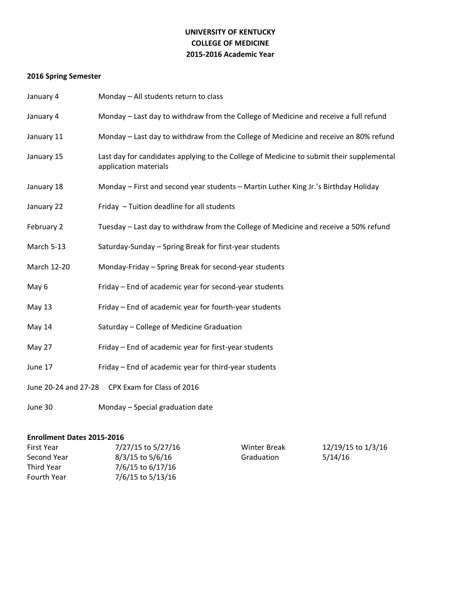# **UNIVERSITY OF KENTUCKY COLLEGE OF MEDICINE 2015-2016 Academic Year**

# **2016 Spring Semester**

| January 4   | Monday - All students return to class                                                                             |
|-------------|-------------------------------------------------------------------------------------------------------------------|
| January 4   | Monday - Last day to withdraw from the College of Medicine and receive a full refund                              |
| January 11  | Monday - Last day to withdraw from the College of Medicine and receive an 80% refund                              |
| January 15  | Last day for candidates applying to the College of Medicine to submit their supplemental<br>application materials |
| January 18  | Monday - First and second year students - Martin Luther King Jr.'s Birthday Holiday                               |
| January 22  | Friday - Tuition deadline for all students                                                                        |
| February 2  | Tuesday - Last day to withdraw from the College of Medicine and receive a 50% refund                              |
| March 5-13  | Saturday-Sunday - Spring Break for first-year students                                                            |
| March 12-20 | Monday-Friday - Spring Break for second-year students                                                             |
| May 6       | Friday – End of academic year for second-year students                                                            |
| May 13      | Friday - End of academic year for fourth-year students                                                            |
| May 14      | Saturday - College of Medicine Graduation                                                                         |
| May 27      | Friday - End of academic year for first-year students                                                             |
| June 17     | Friday - End of academic year for third-year students                                                             |
|             | June 20-24 and 27-28 CPX Exam for Class of 2016                                                                   |
| June 30     | Monday - Special graduation date                                                                                  |

### **Enrollment Dates 2015-2016**

| First Year  | 7/27/15 to 5/27/16 | Winter Break | 12/19/15 to 1/3/16 |
|-------------|--------------------|--------------|--------------------|
| Second Year | 8/3/15 to 5/6/16   | Graduation   | 5/14/16            |
| Third Year  | 7/6/15 to 6/17/16  |              |                    |
| Fourth Year | 7/6/15 to 5/13/16  |              |                    |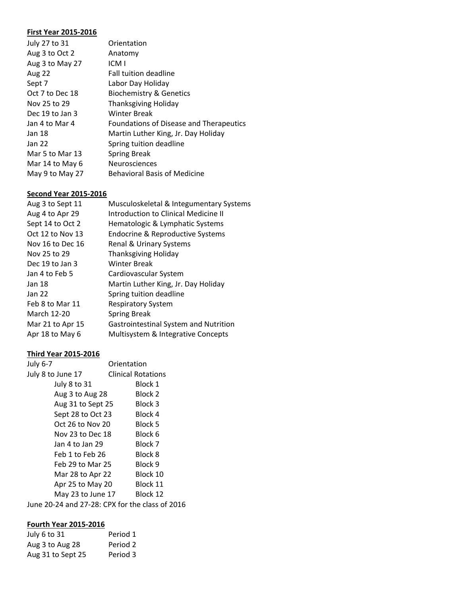# **First Year 2015-2016**

| July 27 to 31   | Orientation                             |
|-----------------|-----------------------------------------|
| Aug 3 to Oct 2  | Anatomy                                 |
| Aug 3 to May 27 | ICM I                                   |
| Aug 22          | <b>Fall tuition deadline</b>            |
| Sept 7          | Labor Day Holiday                       |
| Oct 7 to Dec 18 | <b>Biochemistry &amp; Genetics</b>      |
| Nov 25 to 29    | <b>Thanksgiving Holiday</b>             |
| Dec 19 to Jan 3 | Winter Break                            |
| Jan 4 to Mar 4  | Foundations of Disease and Therapeutics |
| <b>Jan 18</b>   | Martin Luther King, Jr. Day Holiday     |
| Jan 22          | Spring tuition deadline                 |
| Mar 5 to Mar 13 | <b>Spring Break</b>                     |
| Mar 14 to May 6 | <b>Neurosciences</b>                    |
| May 9 to May 27 | <b>Behavioral Basis of Medicine</b>     |

#### **Second Year 2015-2016**

| Aug 3 to Sept 11 | Musculoskeletal & Integumentary Systems      |
|------------------|----------------------------------------------|
| Aug 4 to Apr 29  | Introduction to Clinical Medicine II         |
| Sept 14 to Oct 2 | Hematologic & Lymphatic Systems              |
| Oct 12 to Nov 13 | Endocrine & Reproductive Systems             |
| Nov 16 to Dec 16 | Renal & Urinary Systems                      |
| Nov 25 to 29     | <b>Thanksgiving Holiday</b>                  |
| Dec 19 to Jan 3  | Winter Break                                 |
| Jan 4 to Feb 5   | Cardiovascular System                        |
| Jan 18           | Martin Luther King, Jr. Day Holiday          |
| Jan 22           | Spring tuition deadline                      |
| Feb 8 to Mar 11  | <b>Respiratory System</b>                    |
| March 12-20      | <b>Spring Break</b>                          |
| Mar 21 to Apr 15 | <b>Gastrointestinal System and Nutrition</b> |
| Apr 18 to May 6  | Multisystem & Integrative Concepts           |
|                  |                                              |

### **Third Year 2015-2016**

| July 6-7 |                                                 | Orientation |                           |
|----------|-------------------------------------------------|-------------|---------------------------|
|          | July 8 to June 17                               |             | <b>Clinical Rotations</b> |
|          | July 8 to 31                                    |             | Block 1                   |
|          | Aug 3 to Aug 28                                 |             | Block 2                   |
|          | Aug 31 to Sept 25                               |             | Block 3                   |
|          | Sept 28 to Oct 23                               |             | Block 4                   |
|          | Oct 26 to Nov 20                                |             | Block 5                   |
|          | Nov 23 to Dec 18                                |             | Block 6                   |
|          | Jan 4 to Jan 29                                 |             | Block 7                   |
|          | Feb 1 to Feb 26                                 |             | Block 8                   |
|          | Feb 29 to Mar 25                                |             | Block 9                   |
|          | Mar 28 to Apr 22                                |             | Block 10                  |
|          | Apr 25 to May 20                                |             | Block 11                  |
|          | May 23 to June 17                               |             | Block 12                  |
|          | June 20-24 and 27-28: CPX for the class of 2016 |             |                           |

# **Fourth Year 2015-2016**

| July 6 to 31      | Period 1 |
|-------------------|----------|
| Aug 3 to Aug 28   | Period 2 |
| Aug 31 to Sept 25 | Period 3 |